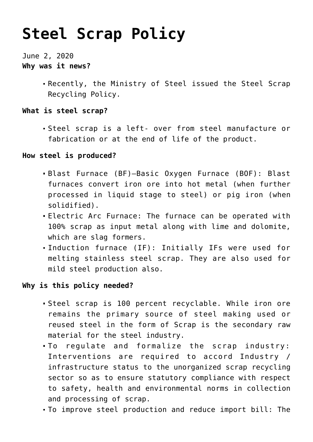# **[Steel Scrap Policy](https://journalsofindia.com/steel-scrap-policy/)**

June 2, 2020 **Why was it news?**

> Recently, the Ministry of Steel issued the Steel Scrap Recycling Policy.

### **What is steel scrap?**

Steel scrap is a left- over from steel manufacture or fabrication or at the end of life of the product.

### **How steel is produced?**

- Blast Furnace (BF)–Basic Oxygen Furnace (BOF): Blast furnaces convert iron ore into hot metal (when further processed in liquid stage to steel) or pig iron (when solidified).
- Electric Arc Furnace: The furnace can be operated with 100% scrap as input metal along with lime and dolomite, which are slag formers.
- Induction furnace (IF): Initially IFs were used for melting stainless steel scrap. They are also used for mild steel production also.

## **Why is this policy needed?**

- Steel scrap is 100 percent recyclable. While iron ore remains the primary source of steel making used or reused steel in the form of Scrap is the secondary raw material for the steel industry.
- To regulate and formalize the scrap industry: Interventions are required to accord Industry / infrastructure status to the unorganized scrap recycling sector so as to ensure statutory compliance with respect to safety, health and environmental norms in collection and processing of scrap.
- To improve steel production and reduce import bill: The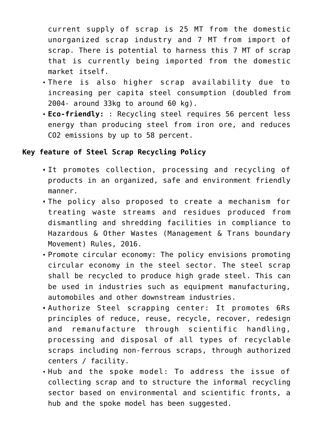current supply of scrap is 25 MT from the domestic unorganized scrap industry and 7 MT from import of scrap. There is potential to harness this 7 MT of scrap that is currently being imported from the domestic market itself.

- There is also higher scrap availability due to increasing per capita steel consumption (doubled from 2004- around 33kg to around 60 kg).
- **Eco-friendly:** : Recycling steel requires 56 percent less energy than producing steel from iron ore, and reduces CO2 emissions by up to 58 percent.

#### **Key feature of Steel Scrap Recycling Policy**

- It promotes collection, processing and recycling of products in an organized, safe and environment friendly manner.
- The policy also proposed to create a mechanism for treating waste streams and residues produced from dismantling and shredding facilities in compliance to Hazardous & Other Wastes (Management & Trans boundary Movement) Rules, 2016.
- Promote circular economy: The policy envisions promoting circular economy in the steel sector. The steel scrap shall be recycled to produce high grade steel. This can be used in industries such as equipment manufacturing, automobiles and other downstream industries.
- Authorize Steel scrapping center: It promotes 6Rs principles of reduce, reuse, recycle, recover, redesign and remanufacture through scientific handling, processing and disposal of all types of recyclable scraps including non-ferrous scraps, through authorized centers / facility.
- Hub and the spoke model: To address the issue of collecting scrap and to structure the informal recycling sector based on environmental and scientific fronts, a hub and the spoke model has been suggested.